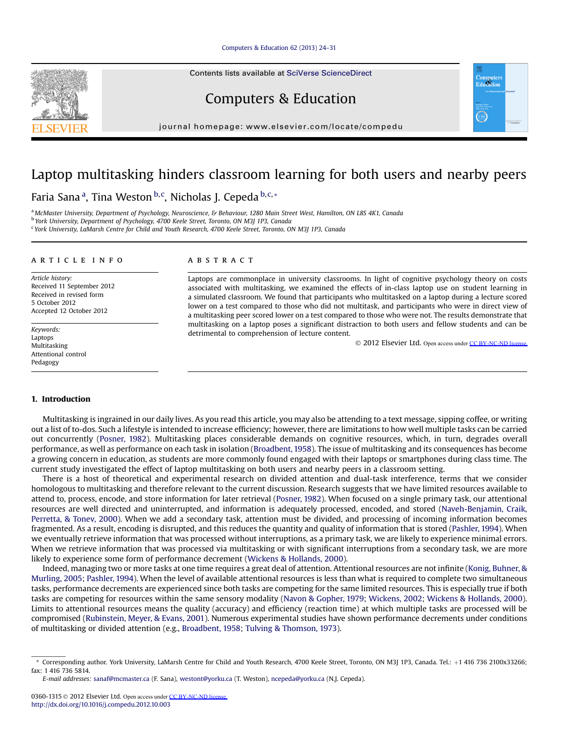#### [Computers & Education 62 \(2013\) 24](http://dx.doi.org/10.1016/j.compedu.2012.10.003)–31

Contents lists available at [SciVerse ScienceDirect](www.sciencedirect.com/science/journal/03601315)



Computers & Education

journal homepage: [www.elsevier.com/locate/compedu](http://www.elsevier.com/locate/compedu)

# Laptop multitasking hinders classroom learning for both users and nearby peers

Faria Sanaª, Tina Weston<sup>b,c</sup>, Nicholas J. Cepeda<sup>b,c,</sup>\*

a McMaster University, Department of Psychology, Neuroscience, & Behaviour, 1280 Main Street West, Hamilton, ON L8S 4K1, Canada

<sup>b</sup> York University, Department of Psychology, 4700 Keele Street, Toronto, ON M3J 1P3, Canada

<sup>c</sup> York University, LaMarsh Centre for Child and Youth Research, 4700 Keele Street, Toronto, ON M3J 1P3, Canada

# article info

Article history: Received 11 September 2012 Received in revised form 5 October 2012 Accepted 12 October 2012

Keywords: Laptops Multitasking Attentional control Pedagogy

#### **ABSTRACT**

Laptops are commonplace in university classrooms. In light of cognitive psychology theory on costs associated with multitasking, we examined the effects of in-class laptop use on student learning in a simulated classroom. We found that participants who multitasked on a laptop during a lecture scored lower on a test compared to those who did not multitask, and participants who were in direct view of a multitasking peer scored lower on a test compared to those who were not. The results demonstrate that multitasking on a laptop poses a significant distraction to both users and fellow students and can be detrimental to comprehension of lecture content.

2012 Elsevier Ltd. Open access under [CC BY-NC-ND license.](http://creativecommons.org/licenses/by-nc-nd/3.0/)

Co<mark>mputer</mark><br>Edu**enti**on

# 1. Introduction

Multitasking is ingrained in our daily lives. As you read this article, you may also be attending to a text message, sipping coffee, or writing out a list of to-dos. Such a lifestyle is intended to increase efficiency; however, there are limitations to how well multiple tasks can be carried out concurrently ([Posner, 1982\)](#page-7-0). Multitasking places considerable demands on cognitive resources, which, in turn, degrades overall performance, as well as performance on each task in isolation [\(Broadbent, 1958\)](#page-7-0). The issue of multitasking and its consequences has become a growing concern in education, as students are more commonly found engaged with their laptops or smartphones during class time. The current study investigated the effect of laptop multitasking on both users and nearby peers in a classroom setting.

There is a host of theoretical and experimental research on divided attention and dual-task interference, terms that we consider homologous to multitasking and therefore relevant to the current discussion. Research suggests that we have limited resources available to attend to, process, encode, and store information for later retrieval ([Posner, 1982\)](#page-7-0). When focused on a single primary task, our attentional resources are well directed and uninterrupted, and information is adequately processed, encoded, and stored [\(Naveh-Benjamin, Craik,](#page-7-0) [Perretta, & Tonev, 2000](#page-7-0)). When we add a secondary task, attention must be divided, and processing of incoming information becomes fragmented. As a result, encoding is disrupted, and this reduces the quantity and quality of information that is stored [\(Pashler, 1994\)](#page-7-0). When we eventually retrieve information that was processed without interruptions, as a primary task, we are likely to experience minimal errors. When we retrieve information that was processed via multitasking or with significant interruptions from a secondary task, we are more likely to experience some form of performance decrement ([Wickens & Hollands, 2000\)](#page-7-0).

Indeed, managing two or more tasks at one time requires a great deal of attention. Attentional resources are not infinite [\(Konig, Buhner, &](#page-7-0) [Murling, 2005](#page-7-0); [Pashler, 1994\)](#page-7-0). When the level of available attentional resources is less than what is required to complete two simultaneous tasks, performance decrements are experienced since both tasks are competing for the same limited resources. This is especially true if both tasks are competing for resources within the same sensory modality [\(Navon & Gopher, 1979;](#page-7-0) [Wickens, 2002;](#page-7-0) [Wickens & Hollands, 2000\)](#page-7-0). Limits to attentional resources means the quality (accuracy) and efficiency (reaction time) at which multiple tasks are processed will be compromised ([Rubinstein, Meyer, & Evans, 2001\)](#page-7-0). Numerous experimental studies have shown performance decrements under conditions of multitasking or divided attention (e.g., [Broadbent, 1958](#page-7-0); [Tulving & Thomson, 1973](#page-7-0)).

<sup>\*</sup> Corresponding author. York University, LaMarsh Centre for Child and Youth Research, 4700 Keele Street, Toronto, ON M3J 1P3, Canada. Tel.: þ1 416 736 2100x33266; fax: 1 416 736 5814.

E-mail addresses: [sanaf@mcmaster.ca](mailto:sanaf@mcmaster.ca) (F. Sana), [westont@yorku.ca](mailto:westont@yorku.ca) (T. Weston), [ncepeda@yorku.ca](mailto:ncepeda@yorku.ca) (N.J. Cepeda).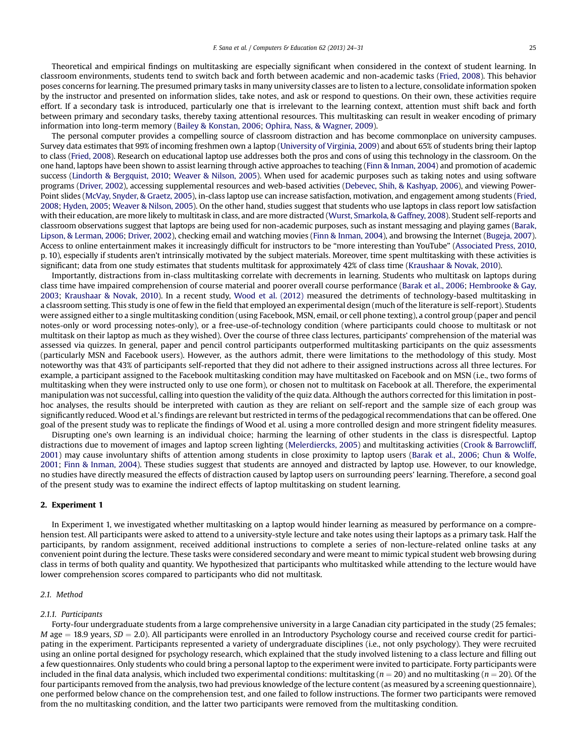Theoretical and empirical findings on multitasking are especially significant when considered in the context of student learning. In classroom environments, students tend to switch back and forth between academic and non-academic tasks [\(Fried, 2008\)](#page-7-0). This behavior poses concerns for learning. The presumed primary tasks in many university classes are to listen to a lecture, consolidate information spoken by the instructor and presented on information slides, take notes, and ask or respond to questions. On their own, these activities require effort. If a secondary task is introduced, particularly one that is irrelevant to the learning context, attention must shift back and forth between primary and secondary tasks, thereby taxing attentional resources. This multitasking can result in weaker encoding of primary information into long-term memory ([Bailey & Konstan, 2006](#page-7-0); [Ophira, Nass, & Wagner, 2009\)](#page-7-0).

The personal computer provides a compelling source of classroom distraction and has become commonplace on university campuses. Survey data estimates that 99% of incoming freshmen own a laptop [\(University of Virginia, 2009\)](#page-7-0) and about 65% of students bring their laptop to class ([Fried, 2008](#page-7-0)). Research on educational laptop use addresses both the pros and cons of using this technology in the classroom. On the one hand, laptops have been shown to assist learning through active approaches to teaching [\(Finn & Inman, 2004\)](#page-7-0) and promotion of academic success ([Lindorth & Bergquist, 2010;](#page-7-0) [Weaver & Nilson, 2005](#page-7-0)). When used for academic purposes such as taking notes and using software programs [\(Driver, 2002](#page-7-0)), accessing supplemental resources and web-based activities [\(Debevec, Shih, & Kashyap, 2006\)](#page-7-0), and viewing Power-Point slides [\(McVay, Snyder, & Graetz, 2005](#page-7-0)), in-class laptop use can increase satisfaction, motivation, and engagement among students [\(Fried,](#page-7-0) [2008](#page-7-0); [Hyden, 2005](#page-7-0); [Weaver & Nilson, 2005](#page-7-0)). On the other hand, studies suggest that students who use laptops in class report low satisfaction with their education, are more likely to multitask in class, and are more distracted ([Wurst, Smarkola, & Gaffney, 2008](#page-7-0)). Student self-reports and classroom observations suggest that laptops are being used for non-academic purposes, such as instant messaging and playing games ([Barak,](#page-7-0) [Lipson, & Lerman, 2006](#page-7-0); [Driver, 2002\)](#page-7-0), checking email and watching movies [\(Finn & Inman, 2004](#page-7-0)), and browsing the Internet [\(Bugeja, 2007\)](#page-7-0). Access to online entertainment makes it increasingly difficult for instructors to be "more interesting than YouTube" ([Associated Press, 2010,](#page-7-0) p. 10), especially if students aren't intrinsically motivated by the subject materials. Moreover, time spent multitasking with these activities is significant; data from one study estimates that students multitask for approximately 42% of class time ([Kraushaar & Novak, 2010](#page-7-0)).

Importantly, distractions from in-class multitasking correlate with decrements in learning. Students who multitask on laptops during class time have impaired comprehension of course material and poorer overall course performance ([Barak et al., 2006](#page-7-0); [Hembrooke & Gay,](#page-7-0) [2003;](#page-7-0) [Kraushaar & Novak, 2010\)](#page-7-0). In a recent study, [Wood et al. \(2012\)](#page-7-0) measured the detriments of technology-based multitasking in a classroom setting. This study is one of few in the field that employed an experimental design (much of the literature is self-report). Students were assigned either to a single multitasking condition (using Facebook, MSN, email, or cell phone texting), a control group (paper and pencil notes-only or word processing notes-only), or a free-use-of-technology condition (where participants could choose to multitask or not multitask on their laptop as much as they wished). Over the course of three class lectures, participants' comprehension of the material was assessed via quizzes. In general, paper and pencil control participants outperformed multitasking participants on the quiz assessments (particularly MSN and Facebook users). However, as the authors admit, there were limitations to the methodology of this study. Most noteworthy was that 43% of participants self-reported that they did not adhere to their assigned instructions across all three lectures. For example, a participant assigned to the Facebook multitasking condition may have multitasked on Facebook and on MSN (i.e., two forms of multitasking when they were instructed only to use one form), or chosen not to multitask on Facebook at all. Therefore, the experimental manipulation was not successful, calling into question the validity of the quiz data. Although the authors corrected for this limitation in posthoc analyses, the results should be interpreted with caution as they are reliant on self-report and the sample size of each group was significantly reduced. Wood et al.'s findings are relevant but restricted in terms of the pedagogical recommendations that can be offered. One goal of the present study was to replicate the findings of Wood et al. using a more controlled design and more stringent fidelity measures.

Disrupting one's own learning is an individual choice; harming the learning of other students in the class is disrespectful. Laptop distractions due to movement of images and laptop screen lighting ([Melerdiercks, 2005](#page-7-0)) and multitasking activities ([Crook & Barrowcliff,](#page-7-0) [2001\)](#page-7-0) may cause involuntary shifts of attention among students in close proximity to laptop users [\(Barak et al., 2006](#page-7-0); [Chun & Wolfe,](#page-7-0) [2001;](#page-7-0) [Finn & Inman, 2004\)](#page-7-0). These studies suggest that students are annoyed and distracted by laptop use. However, to our knowledge, no studies have directly measured the effects of distraction caused by laptop users on surrounding peers' learning. Therefore, a second goal of the present study was to examine the indirect effects of laptop multitasking on student learning.

# 2. Experiment 1

In Experiment 1, we investigated whether multitasking on a laptop would hinder learning as measured by performance on a comprehension test. All participants were asked to attend to a university-style lecture and take notes using their laptops as a primary task. Half the participants, by random assignment, received additional instructions to complete a series of non-lecture-related online tasks at any convenient point during the lecture. These tasks were considered secondary and were meant to mimic typical student web browsing during class in terms of both quality and quantity. We hypothesized that participants who multitasked while attending to the lecture would have lower comprehension scores compared to participants who did not multitask.

# 2.1. Method

# 2.1.1. Participants

Forty-four undergraduate students from a large comprehensive university in a large Canadian city participated in the study (25 females; M age  $=$  18.9 years,  $SD = 2.0$ ). All participants were enrolled in an Introductory Psychology course and received course credit for participating in the experiment. Participants represented a variety of undergraduate disciplines (i.e., not only psychology). They were recruited using an online portal designed for psychology research, which explained that the study involved listening to a class lecture and filling out a few questionnaires. Only students who could bring a personal laptop to the experiment were invited to participate. Forty participants were included in the final data analysis, which included two experimental conditions: multitasking ( $n = 20$ ) and no multitasking ( $n = 20$ ). Of the four participants removed from the analysis, two had previous knowledge of the lecture content (as measured by a screening questionnaire), one performed below chance on the comprehension test, and one failed to follow instructions. The former two participants were removed from the no multitasking condition, and the latter two participants were removed from the multitasking condition.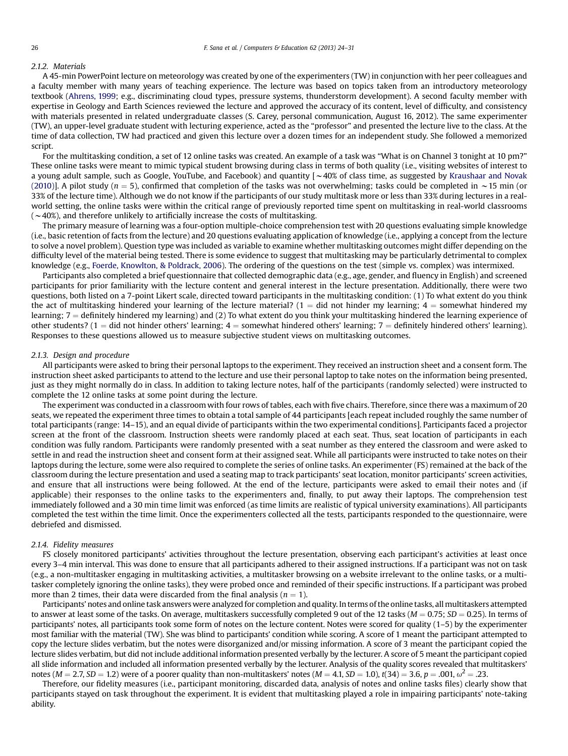# 2.1.2. Materials

A 45-min PowerPoint lecture on meteorology was created by one of the experimenters (TW) in conjunction with her peer colleagues and a faculty member with many years of teaching experience. The lecture was based on topics taken from an introductory meteorology textbook [\(Ahrens, 1999](#page-7-0); e.g., discriminating cloud types, pressure systems, thunderstorm development). A second faculty member with expertise in Geology and Earth Sciences reviewed the lecture and approved the accuracy of its content, level of difficulty, and consistency with materials presented in related undergraduate classes (S. Carey, personal communication, August 16, 2012). The same experimenter (TW), an upper-level graduate student with lecturing experience, acted as the "professor" and presented the lecture live to the class. At the time of data collection, TW had practiced and given this lecture over a dozen times for an independent study. She followed a memorized script.

For the multitasking condition, a set of 12 online tasks was created. An example of a task was "What is on Channel 3 tonight at 10 pm?" These online tasks were meant to mimic typical student browsing during class in terms of both quality (i.e., visiting websites of interest to a young adult sample, such as Google, YouTube, and Facebook) and quantity  $\sim$  40% of class time, as suggested by [Kraushaar and Novak](#page-7-0) [\(2010\)](#page-7-0)]. A pilot study ( $n = 5$ ), confirmed that completion of the tasks was not overwhelming; tasks could be completed in  $\sim$  15 min (or 33% of the lecture time). Although we do not know if the participants of our study multitask more or less than 33% during lectures in a realworld setting, the online tasks were within the critical range of previously reported time spent on multitasking in real-world classrooms  $(-40%)$ , and therefore unlikely to artificially increase the costs of multitasking.

The primary measure of learning was a four-option multiple-choice comprehension test with 20 questions evaluating simple knowledge (i.e., basic retention of facts from the lecture) and 20 questions evaluating application of knowledge (i.e., applying a concept from the lecture to solve a novel problem). Question type was included as variable to examine whether multitasking outcomes might differ depending on the difficulty level of the material being tested. There is some evidence to suggest that multitasking may be particularly detrimental to complex knowledge (e.g., [Foerde, Knowlton, & Poldrack, 2006](#page-7-0)). The ordering of the questions on the test (simple vs. complex) was intermixed.

Participants also completed a brief questionnaire that collected demographic data (e.g., age, gender, and fluency in English) and screened participants for prior familiarity with the lecture content and general interest in the lecture presentation. Additionally, there were two questions, both listed on a 7-point Likert scale, directed toward participants in the multitasking condition: (1) To what extent do you think the act of multitasking hindered your learning of the lecture material? ( $1 =$  did not hinder my learning;  $4 =$  somewhat hindered my learning;  $7 =$  definitely hindered my learning) and (2) To what extent do you think your multitasking hindered the learning experience of other students? (1 = did not hinder others' learning;  $4 =$  somewhat hindered others' learning; 7 = definitely hindered others' learning). Responses to these questions allowed us to measure subjective student views on multitasking outcomes.

#### 2.1.3. Design and procedure

All participants were asked to bring their personal laptops to the experiment. They received an instruction sheet and a consent form. The instruction sheet asked participants to attend to the lecture and use their personal laptop to take notes on the information being presented, just as they might normally do in class. In addition to taking lecture notes, half of the participants (randomly selected) were instructed to complete the 12 online tasks at some point during the lecture.

The experiment was conducted in a classroom with four rows of tables, each with five chairs. Therefore, since there was a maximum of 20 seats, we repeated the experiment three times to obtain a total sample of 44 participants [each repeat included roughly the same number of total participants (range: 14–15), and an equal divide of participants within the two experimental conditions]. Participants faced a projector screen at the front of the classroom. Instruction sheets were randomly placed at each seat. Thus, seat location of participants in each condition was fully random. Participants were randomly presented with a seat number as they entered the classroom and were asked to settle in and read the instruction sheet and consent form at their assigned seat. While all participants were instructed to take notes on their laptops during the lecture, some were also required to complete the series of online tasks. An experimenter (FS) remained at the back of the classroom during the lecture presentation and used a seating map to track participants' seat location, monitor participants' screen activities, and ensure that all instructions were being followed. At the end of the lecture, participants were asked to email their notes and (if applicable) their responses to the online tasks to the experimenters and, finally, to put away their laptops. The comprehension test immediately followed and a 30 min time limit was enforced (as time limits are realistic of typical university examinations). All participants completed the test within the time limit. Once the experimenters collected all the tests, participants responded to the questionnaire, were debriefed and dismissed.

#### 2.1.4. Fidelity measures

FS closely monitored participants' activities throughout the lecture presentation, observing each participant's activities at least once every 3–4 min interval. This was done to ensure that all participants adhered to their assigned instructions. If a participant was not on task (e.g., a non-multitasker engaging in multitasking activities, a multitasker browsing on a website irrelevant to the online tasks, or a multitasker completely ignoring the online tasks), they were probed once and reminded of their specific instructions. If a participant was probed more than 2 times, their data were discarded from the final analysis ( $n = 1$ ).

Participants' notes and online task answers were analyzed for completion and quality. In terms of the online tasks, all multitaskers attempted to answer at least some of the tasks. On average, multitaskers successfully completed 9 out of the 12 tasks ( $M = 0.75$ ;  $SD = 0.25$ ). In terms of participants' notes, all participants took some form of notes on the lecture content. Notes were scored for quality (1–5) by the experimenter most familiar with the material (TW). She was blind to participants' condition while scoring. A score of 1 meant the participant attempted to copy the lecture slides verbatim, but the notes were disorganized and/or missing information. A score of 3 meant the participant copied the lecture slides verbatim, but did not include additional information presented verbally by the lecturer. A score of 5 meant the participant copied all slide information and included all information presented verbally by the lecturer. Analysis of the quality scores revealed that multitaskers' notes ( $M = 2.7$ ,  $SD = 1.2$ ) were of a poorer quality than non-multitaskers' notes ( $M = 4.1$ ,  $SD = 1.0$ ),  $t(34) = 3.6$ ,  $p = .001$ ,  $\omega^2 = .23$ .

Therefore, our fidelity measures (i.e., participant monitoring, discarded data, analysis of notes and online tasks files) clearly show that participants stayed on task throughout the experiment. It is evident that multitasking played a role in impairing participants' note-taking ability.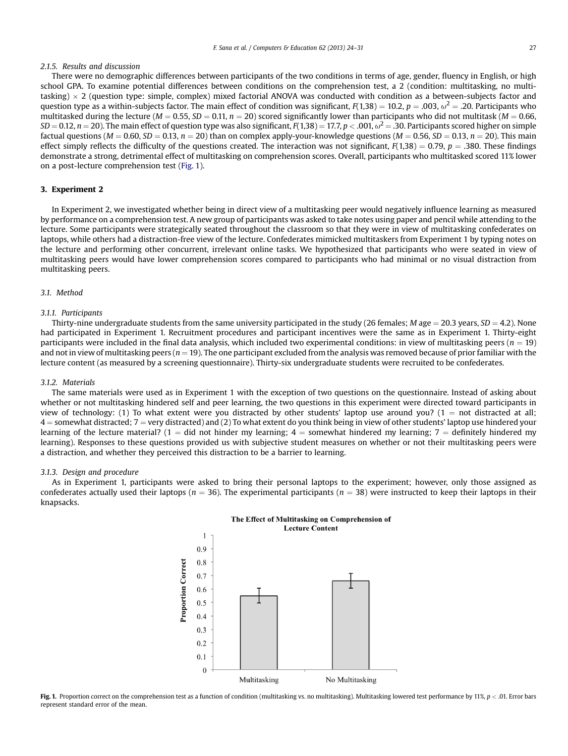# 215. Results and discussion

There were no demographic differences between participants of the two conditions in terms of age, gender, fluency in English, or high school GPA. To examine potential differences between conditions on the comprehension test, a 2 (condition: multitasking, no multitasking) × 2 (question type: simple, complex) mixed factorial ANOVA was conducted with condition as a between-subjects factor and question type as a within-subjects factor. The main effect of condition was significant,  $F(1,38) = 10.2$ ,  $p = .003$ ,  $\omega^2 = .20$ . Participants who multitasked during the lecture ( $M = 0.55$ ,  $SD = 0.11$ ,  $n = 20$ ) scored significantly lower than participants who did not multitask ( $M = 0.66$ ,  $SD = 0.12$ ,  $n = 20$ ). The main effect of question type was also significant,  $F(1,38) = 17.7$ ,  $p < .001$ ,  $\omega^2 = .30$ . Participants scored higher on simple factual questions ( $M = 0.60$ ,  $SD = 0.13$ ,  $n = 20$ ) than on complex apply-your-knowledge questions ( $M = 0.56$ ,  $SD = 0.13$ ,  $n = 20$ ). This main effect simply reflects the difficulty of the questions created. The interaction was not significant,  $F(1,38) = 0.79$ ,  $p = .380$ . These findings demonstrate a strong, detrimental effect of multitasking on comprehension scores. Overall, participants who multitasked scored 11% lower on a post-lecture comprehension test (Fig. 1).

# 3. Experiment 2

In Experiment 2, we investigated whether being in direct view of a multitasking peer would negatively influence learning as measured by performance on a comprehension test. A new group of participants was asked to take notes using paper and pencil while attending to the lecture. Some participants were strategically seated throughout the classroom so that they were in view of multitasking confederates on laptops, while others had a distraction-free view of the lecture. Confederates mimicked multitaskers from Experiment 1 by typing notes on the lecture and performing other concurrent, irrelevant online tasks. We hypothesized that participants who were seated in view of multitasking peers would have lower comprehension scores compared to participants who had minimal or no visual distraction from multitasking peers.

# 3.1. Method

# 3.1.1. Participants

Thirty-nine undergraduate students from the same university participated in the study (26 females;  $M$  age = 20.3 years,  $SD = 4.2$ ). None had participated in Experiment 1. Recruitment procedures and participant incentives were the same as in Experiment 1. Thirty-eight participants were included in the final data analysis, which included two experimental conditions: in view of multitasking peers ( $n = 19$ ) and not in view of multitasking peers ( $n = 19$ ). The one participant excluded from the analysis was removed because of prior familiar with the lecture content (as measured by a screening questionnaire). Thirty-six undergraduate students were recruited to be confederates.

#### 3.1.2. Materials

The same materials were used as in Experiment 1 with the exception of two questions on the questionnaire. Instead of asking about whether or not multitasking hindered self and peer learning, the two questions in this experiment were directed toward participants in view of technology: (1) To what extent were you distracted by other students' laptop use around you? (1 = not distracted at all;  $4$  = somewhat distracted;  $7$  = very distracted) and (2) To what extent do you think being in view of other students' laptop use hindered your learning of the lecture material? (1 = did not hinder my learning; 4 = somewhat hindered my learning; 7 = definitely hindered my learning). Responses to these questions provided us with subjective student measures on whether or not their multitasking peers were a distraction, and whether they perceived this distraction to be a barrier to learning.

# 3.1.3. Design and procedure

As in Experiment 1, participants were asked to bring their personal laptops to the experiment; however, only those assigned as confederates actually used their laptops ( $n = 36$ ). The experimental participants ( $n = 38$ ) were instructed to keep their laptops in their knapsacks.



Fig. 1. Proportion correct on the comprehension test as a function of condition (multitasking vs. no multitasking). Multitasking lowered test performance by 11%,  $p < .01$ . Error bars represent standard error of the mean.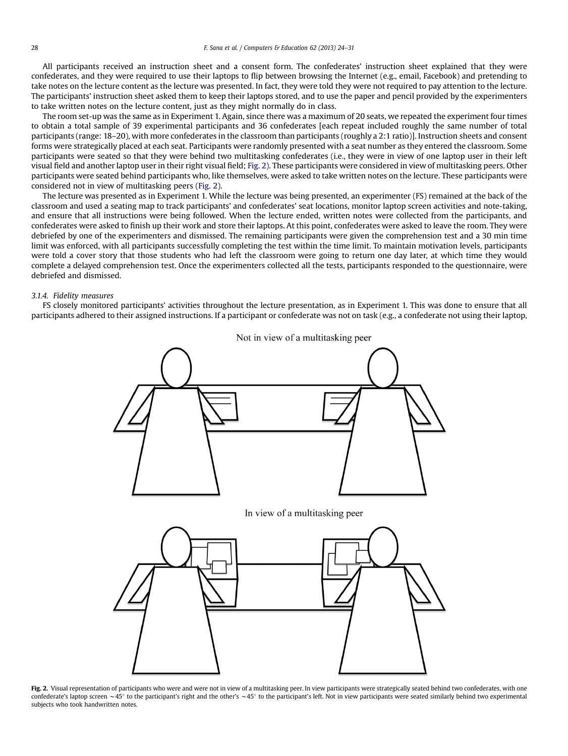All participants received an instruction sheet and a consent form. The confederates' instruction sheet explained that they were confederates, and they were required to use their laptops to flip between browsing the Internet (e.g., email, Facebook) and pretending to take notes on the lecture content as the lecture was presented. In fact, they were told they were not required to pay attention to the lecture. The participants' instruction sheet asked them to keep their laptops stored, and to use the paper and pencil provided by the experimenters to take written notes on the lecture content, just as they might normally do in class.

The room set-up was the same as in Experiment 1. Again, since there was a maximum of 20 seats, we repeated the experiment four times to obtain a total sample of 39 experimental participants and 36 confederates [each repeat included roughly the same number of total participants (range: 18–20), with more confederates in the classroom than participants (roughly a 2:1 ratio)]. Instruction sheets and consent forms were strategically placed at each seat. Participants were randomly presented with a seat number as they entered the classroom. Some participants were seated so that they were behind two multitasking confederates (i.e., they were in view of one laptop user in their left visual field and another laptop user in their right visual field; Fig. 2). These participants were considered in view of multitasking peers. Other participants were seated behind participants who, like themselves, were asked to take written notes on the lecture. These participants were considered not in view of multitasking peers (Fig. 2).

The lecture was presented as in Experiment 1. While the lecture was being presented, an experimenter (FS) remained at the back of the classroom and used a seating map to track participants' and confederates' seat locations, monitor laptop screen activities and note-taking, and ensure that all instructions were being followed. When the lecture ended, written notes were collected from the participants, and confederates were asked to finish up their work and store their laptops. At this point, confederates were asked to leave the room. They were debriefed by one of the experimenters and dismissed. The remaining participants were given the comprehension test and a 30 min time limit was enforced, with all participants successfully completing the test within the time limit. To maintain motivation levels, participants were told a cover story that those students who had left the classroom were going to return one day later, at which time they would complete a delayed comprehension test. Once the experimenters collected all the tests, participants responded to the questionnaire, were debriefed and dismissed.

# 3.1.4. Fidelity measures

FS closely monitored participants' activities throughout the lecture presentation, as in Experiment 1. This was done to ensure that all participants adhered to their assigned instructions. If a participant or confederate was not on task (e.g., a confederate not using their laptop,



Fig. 2. Visual representation of participants who were and were not in view of a multitasking peer. In view participants were strategically seated behind two confederates, with one confederate's laptop screen  $\sim$ 45 $^{\circ}$  to the participant's right and the other's  $\sim$ 45 $^{\circ}$  to the participant's left. Not in view participants were seated similarly behind two experimental subjects who took handwritten notes.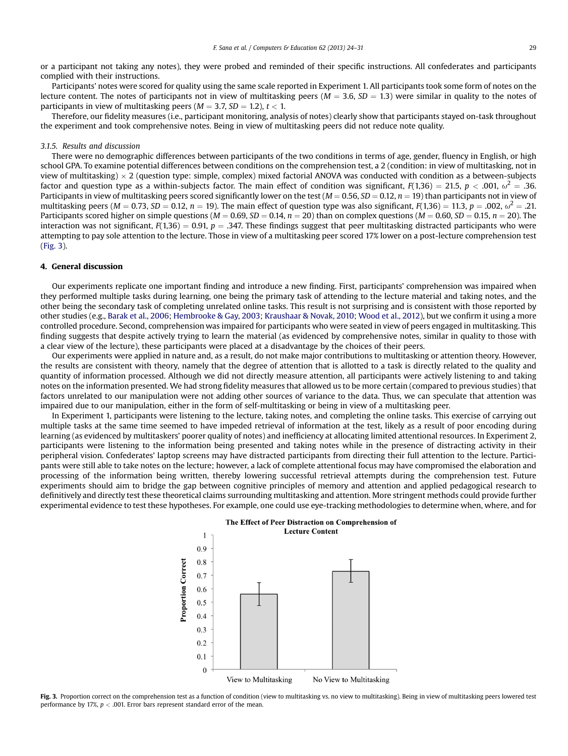or a participant not taking any notes), they were probed and reminded of their specific instructions. All confederates and participants complied with their instructions.

Participants' notes were scored for quality using the same scale reported in Experiment 1. All participants took some form of notes on the lecture content. The notes of participants not in view of multitasking peers ( $M = 3.6$ ,  $SD = 1.3$ ) were similar in quality to the notes of participants in view of multitasking peers ( $M = 3.7$ ,  $SD = 1.2$ ),  $t < 1$ .

Therefore, our fidelity measures (i.e., participant monitoring, analysis of notes) clearly show that participants stayed on-task throughout the experiment and took comprehensive notes. Being in view of multitasking peers did not reduce note quality.

# 3.1.5. Results and discussion

There were no demographic differences between participants of the two conditions in terms of age, gender, fluency in English, or high school GPA. To examine potential differences between conditions on the comprehension test, a 2 (condition: in view of multitasking, not in view of multitasking)  $\times$  2 (question type: simple, complex) mixed factorial ANOVA was conducted with condition as a between-subjects factor and question type as a within-subjects factor. The main effect of condition was significant,  $F(1,36) = 21.5$ ,  $p < .001$ ,  $\omega^2 = .36$ . Participants in view of multitasking peers scored significantly lower on the test ( $M = 0.56$ ,  $SD = 0.12$ ,  $n = 19$ ) than participants not in view of multitasking peers ( $M = 0.73$ ,  $SD = 0.12$ ,  $n = 19$ ). The main effect of question type was also significant,  $F(1,36) = 11.3$ ,  $p = .002$ ,  $\omega^2 = .21$ . Participants scored higher on simple questions ( $M = 0.69$ ,  $SD = 0.14$ ,  $n = 20$ ) than on complex questions ( $M = 0.60$ ,  $SD = 0.15$ ,  $n = 20$ ). The interaction was not significant,  $F(1,36) = 0.91$ ,  $p = .347$ . These findings suggest that peer multitasking distracted participants who were attempting to pay sole attention to the lecture. Those in view of a multitasking peer scored 17% lower on a post-lecture comprehension test (Fig. 3).

# 4. General discussion

Our experiments replicate one important finding and introduce a new finding. First, participants' comprehension was impaired when they performed multiple tasks during learning, one being the primary task of attending to the lecture material and taking notes, and the other being the secondary task of completing unrelated online tasks. This result is not surprising and is consistent with those reported by other studies (e.g., [Barak et al., 2006](#page-7-0); [Hembrooke & Gay, 2003;](#page-7-0) [Kraushaar & Novak, 2010](#page-7-0); [Wood et al., 2012\)](#page-7-0), but we confirm it using a more controlled procedure. Second, comprehension was impaired for participants who were seated in view of peers engaged in multitasking. This finding suggests that despite actively trying to learn the material (as evidenced by comprehensive notes, similar in quality to those with a clear view of the lecture), these participants were placed at a disadvantage by the choices of their peers.

Our experiments were applied in nature and, as a result, do not make major contributions to multitasking or attention theory. However, the results are consistent with theory, namely that the degree of attention that is allotted to a task is directly related to the quality and quantity of information processed. Although we did not directly measure attention, all participants were actively listening to and taking notes on the information presented. We had strong fidelity measures that allowed us to be more certain (compared to previous studies) that factors unrelated to our manipulation were not adding other sources of variance to the data. Thus, we can speculate that attention was impaired due to our manipulation, either in the form of self-multitasking or being in view of a multitasking peer.

In Experiment 1, participants were listening to the lecture, taking notes, and completing the online tasks. This exercise of carrying out multiple tasks at the same time seemed to have impeded retrieval of information at the test, likely as a result of poor encoding during learning (as evidenced by multitaskers' poorer quality of notes) and inefficiency at allocating limited attentional resources. In Experiment 2, participants were listening to the information being presented and taking notes while in the presence of distracting activity in their peripheral vision. Confederates' laptop screens may have distracted participants from directing their full attention to the lecture. Participants were still able to take notes on the lecture; however, a lack of complete attentional focus may have compromised the elaboration and processing of the information being written, thereby lowering successful retrieval attempts during the comprehension test. Future experiments should aim to bridge the gap between cognitive principles of memory and attention and applied pedagogical research to definitively and directly test these theoretical claims surrounding multitasking and attention. More stringent methods could provide further experimental evidence to test these hypotheses. For example, one could use eye-tracking methodologies to determine when, where, and for



Fig. 3. Proportion correct on the comprehension test as a function of condition (view to multitasking vs. no view to multitasking). Being in view of multitasking peers lowered test performance by 17%,  $p < .001$ . Error bars represent standard error of the mean.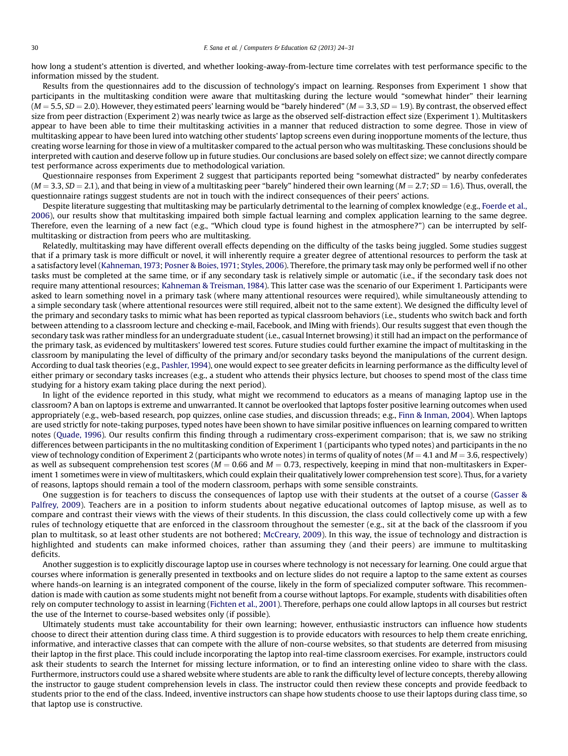how long a student's attention is diverted, and whether looking-away-from-lecture time correlates with test performance specific to the information missed by the student.

Results from the questionnaires add to the discussion of technology's impact on learning. Responses from Experiment 1 show that participants in the multitasking condition were aware that multitasking during the lecture would "somewhat hinder" their learning  $(M = 5.5, SD = 2.0)$ . However, they estimated peers' learning would be "barely hindered"  $(M = 3.3, SD = 1.9)$ . By contrast, the observed effect size from peer distraction (Experiment 2) was nearly twice as large as the observed self-distraction effect size (Experiment 1). Multitaskers appear to have been able to time their multitasking activities in a manner that reduced distraction to some degree. Those in view of multitasking appear to have been lured into watching other students' laptop screens even during inopportune moments of the lecture, thus creating worse learning for those in view of a multitasker compared to the actual person who was multitasking. These conclusions should be interpreted with caution and deserve follow up in future studies. Our conclusions are based solely on effect size; we cannot directly compare test performance across experiments due to methodological variation.

Questionnaire responses from Experiment 2 suggest that participants reported being "somewhat distracted" by nearby confederates  $(M = 3.3, SD = 2.1)$ , and that being in view of a multitasking peer "barely" hindered their own learning  $(M = 2.7; SD = 1.6)$ . Thus, overall, the questionnaire ratings suggest students are not in touch with the indirect consequences of their peers' actions.

Despite literature suggesting that multitasking may be particularly detrimental to the learning of complex knowledge (e.g., [Foerde et al.,](#page-7-0) [2006](#page-7-0)), our results show that multitasking impaired both simple factual learning and complex application learning to the same degree. Therefore, even the learning of a new fact (e.g., "Which cloud type is found highest in the atmosphere?") can be interrupted by selfmultitasking or distraction from peers who are multitasking.

Relatedly, multitasking may have different overall effects depending on the difficulty of the tasks being juggled. Some studies suggest that if a primary task is more difficult or novel, it will inherently require a greater degree of attentional resources to perform the task at a satisfactory level [\(Kahneman, 1973;](#page-7-0) [Posner & Boies, 1971](#page-7-0); [Styles, 2006\)](#page-7-0). Therefore, the primary task may only be performed well if no other tasks must be completed at the same time, or if any secondary task is relatively simple or automatic (i.e., if the secondary task does not require many attentional resources; [Kahneman & Treisman, 1984](#page-7-0)). This latter case was the scenario of our Experiment 1. Participants were asked to learn something novel in a primary task (where many attentional resources were required), while simultaneously attending to a simple secondary task (where attentional resources were still required, albeit not to the same extent). We designed the difficulty level of the primary and secondary tasks to mimic what has been reported as typical classroom behaviors (i.e., students who switch back and forth between attending to a classroom lecture and checking e-mail, Facebook, and IMing with friends). Our results suggest that even though the secondary task was rather mindless for an undergraduate student (i.e., casual Internet browsing) it still had an impact on the performance of the primary task, as evidenced by multitaskers' lowered test scores. Future studies could further examine the impact of multitasking in the classroom by manipulating the level of difficulty of the primary and/or secondary tasks beyond the manipulations of the current design. According to dual task theories (e.g., [Pashler, 1994\)](#page-7-0), one would expect to see greater deficits in learning performance as the difficulty level of either primary or secondary tasks increases (e.g., a student who attends their physics lecture, but chooses to spend most of the class time studying for a history exam taking place during the next period).

In light of the evidence reported in this study, what might we recommend to educators as a means of managing laptop use in the classroom? A ban on laptops is extreme and unwarranted. It cannot be overlooked that laptops foster positive learning outcomes when used appropriately (e.g., web-based research, pop quizzes, online case studies, and discussion threads; e.g., [Finn & Inman, 2004\)](#page-7-0). When laptops are used strictly for note-taking purposes, typed notes have been shown to have similar positive influences on learning compared to written notes [\(Quade, 1996](#page-7-0)). Our results confirm this finding through a rudimentary cross-experiment comparison; that is, we saw no striking differences between participants in the no multitasking condition of Experiment 1 (participants who typed notes) and participants in the no view of technology condition of Experiment 2 (participants who wrote notes) in terms of quality of notes ( $M = 4.1$  and  $M = 3.6$ , respectively) as well as subsequent comprehension test scores ( $M = 0.66$  and  $M = 0.73$ , respectively, keeping in mind that non-multitaskers in Experiment 1 sometimes were in view of multitaskers, which could explain their qualitatively lower comprehension test score). Thus, for a variety of reasons, laptops should remain a tool of the modern classroom, perhaps with some sensible constraints.

One suggestion is for teachers to discuss the consequences of laptop use with their students at the outset of a course [\(Gasser &](#page-7-0) [Palfrey, 2009\)](#page-7-0). Teachers are in a position to inform students about negative educational outcomes of laptop misuse, as well as to compare and contrast their views with the views of their students. In this discussion, the class could collectively come up with a few rules of technology etiquette that are enforced in the classroom throughout the semester (e.g., sit at the back of the classroom if you plan to multitask, so at least other students are not bothered; [McCreary, 2009](#page-7-0)). In this way, the issue of technology and distraction is highlighted and students can make informed choices, rather than assuming they (and their peers) are immune to multitasking deficits.

Another suggestion is to explicitly discourage laptop use in courses where technology is not necessary for learning. One could argue that courses where information is generally presented in textbooks and on lecture slides do not require a laptop to the same extent as courses where hands-on learning is an integrated component of the course, likely in the form of specialized computer software. This recommendation is made with caution as some students might not benefit from a course without laptops. For example, students with disabilities often rely on computer technology to assist in learning [\(Fichten et al., 2001\)](#page-7-0). Therefore, perhaps one could allow laptops in all courses but restrict the use of the Internet to course-based websites only (if possible).

Ultimately students must take accountability for their own learning; however, enthusiastic instructors can influence how students choose to direct their attention during class time. A third suggestion is to provide educators with resources to help them create enriching, informative, and interactive classes that can compete with the allure of non-course websites, so that students are deterred from misusing their laptop in the first place. This could include incorporating the laptop into real-time classroom exercises. For example, instructors could ask their students to search the Internet for missing lecture information, or to find an interesting online video to share with the class. Furthermore, instructors could use a shared website where students are able to rank the difficulty level of lecture concepts, thereby allowing the instructor to gauge student comprehension levels in class. The instructor could then review these concepts and provide feedback to students prior to the end of the class. Indeed, inventive instructors can shape how students choose to use their laptops during class time, so that laptop use is constructive.